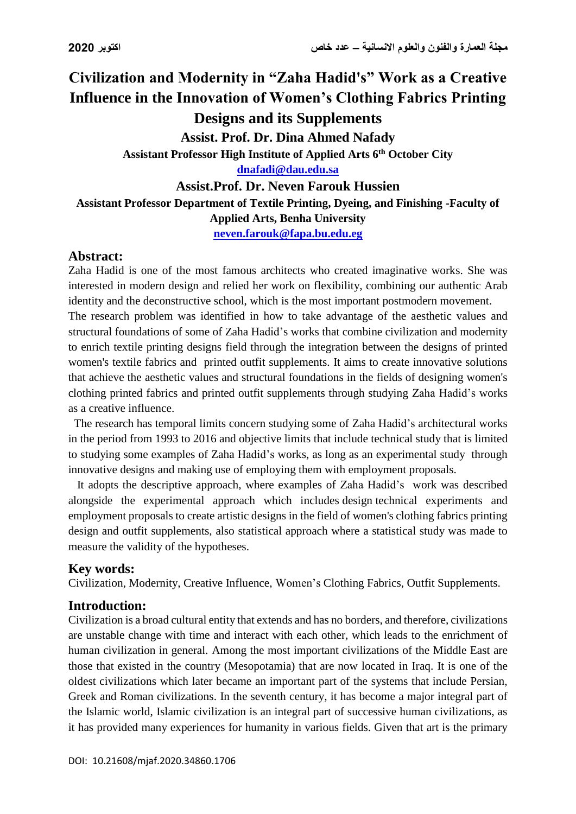# **Civilization and Modernity in "Zaha Hadid's" Work as a Creative Influence in the Innovation of Women's Clothing Fabrics Printing Designs and its Supplements Assist. Prof. Dr. Dina Ahmed Nafady Assistant Professor High Institute of Applied Arts 6th October City [dnafadi@dau.edu.sa](mailto:dnafadi@dau.edu.sa)**

#### **Assist.Prof. Dr. Neven Farouk Hussien**

**Assistant Professor Department of Textile Printing, Dyeing, and Finishing -Faculty of** 

# **Applied Arts, Benha University**

**[neven.farouk@fapa.bu.edu.eg](mailto:neven.farouk@fapa.bu.edu.eg)**

## **Abstract:**

Zaha Hadid is one of the most famous architects who created imaginative works. She was interested in modern design and relied her work on flexibility, combining our authentic Arab identity and the deconstructive school, which is the most important postmodern movement.

The research problem was identified in how to take advantage of the aesthetic values and structural foundations of some of Zaha Hadid's works that combine civilization and modernity to enrich textile printing designs field through the integration between the designs of printed women's textile fabrics and printed outfit supplements. It aims to create innovative solutions that achieve the aesthetic values and structural foundations in the fields of designing women's clothing printed fabrics and printed outfit supplements through studying Zaha Hadid's works as a creative influence.

 The research has temporal limits concern studying some of Zaha Hadid's architectural works in the period from 1993 to 2016 and objective limits that include technical study that is limited to studying some examples of Zaha Hadid's works, as long as an experimental study through innovative designs and making use of employing them with employment proposals.

 It adopts the descriptive approach, where examples of Zaha Hadid's work was described alongside the experimental approach which includes design technical experiments and employment proposals to create artistic designs in the field of women's clothing fabrics printing design and outfit supplements, also statistical approach where a statistical study was made to measure the validity of the hypotheses.

# **Key words:**

Civilization, Modernity, Creative Influence, Women's Clothing Fabrics, Outfit Supplements.

# **Introduction:**

Civilization is a broad cultural entity that extends and has no borders, and therefore, civilizations are unstable change with time and interact with each other, which leads to the enrichment of human civilization in general. Among the most important civilizations of the Middle East are those that existed in the country (Mesopotamia) that are now located in Iraq. It is one of the oldest civilizations which later became an important part of the systems that include Persian, Greek and Roman civilizations. In the seventh century, it has become a major integral part of the Islamic world, Islamic civilization is an integral part of successive human civilizations, as it has provided many experiences for humanity in various fields. Given that art is the primary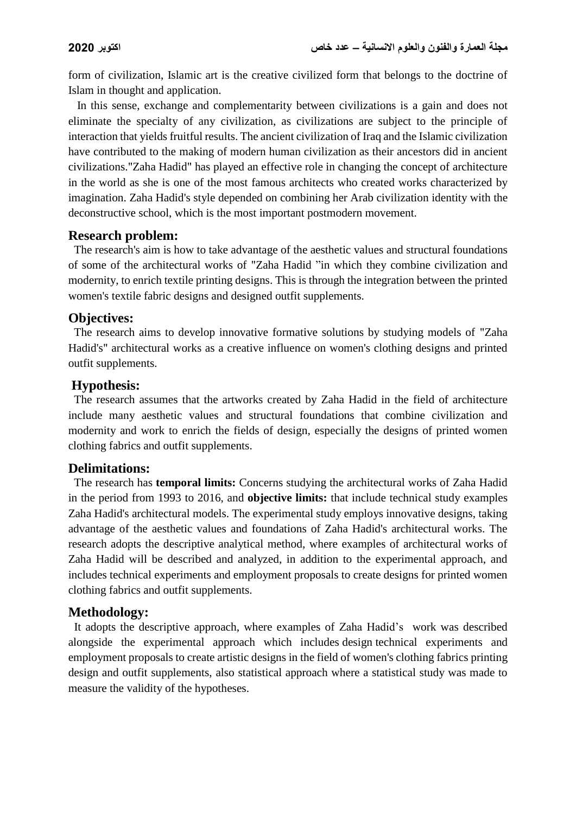form of civilization, Islamic art is the creative civilized form that belongs to the doctrine of Islam in thought and application.

 In this sense, exchange and complementarity between civilizations is a gain and does not eliminate the specialty of any civilization, as civilizations are subject to the principle of interaction that yields fruitful results. The ancient civilization of Iraq and the Islamic civilization have contributed to the making of modern human civilization as their ancestors did in ancient civilizations."Zaha Hadid" has played an effective role in changing the concept of architecture in the world as she is one of the most famous architects who created works characterized by imagination. Zaha Hadid's style depended on combining her Arab civilization identity with the deconstructive school, which is the most important postmodern movement.

#### **Research problem:**

 The research's aim is how to take advantage of the aesthetic values and structural foundations of some of the architectural works of "Zaha Hadid "in which they combine civilization and modernity, to enrich textile printing designs. This is through the integration between the printed women's textile fabric designs and designed outfit supplements.

### **Objectives:**

 The research aims to develop innovative formative solutions by studying models of "Zaha Hadid's" architectural works as a creative influence on women's clothing designs and printed outfit supplements.

### **Hypothesis:**

 The research assumes that the artworks created by Zaha Hadid in the field of architecture include many aesthetic values and structural foundations that combine civilization and modernity and work to enrich the fields of design, especially the designs of printed women clothing fabrics and outfit supplements.

## **Delimitations:**

 The research has **temporal limits:** Concerns studying the architectural works of Zaha Hadid in the period from 1993 to 2016, and **objective limits:** that include technical study examples Zaha Hadid's architectural models. The experimental study employs innovative designs, taking advantage of the aesthetic values and foundations of Zaha Hadid's architectural works. The research adopts the descriptive analytical method, where examples of architectural works of Zaha Hadid will be described and analyzed, in addition to the experimental approach, and includes technical experiments and employment proposals to create designs for printed women clothing fabrics and outfit supplements.

#### **Methodology:**

 It adopts the descriptive approach, where examples of Zaha Hadid's work was described alongside the experimental approach which includes design technical experiments and employment proposals to create artistic designs in the field of women's clothing fabrics printing design and outfit supplements, also statistical approach where a statistical study was made to measure the validity of the hypotheses.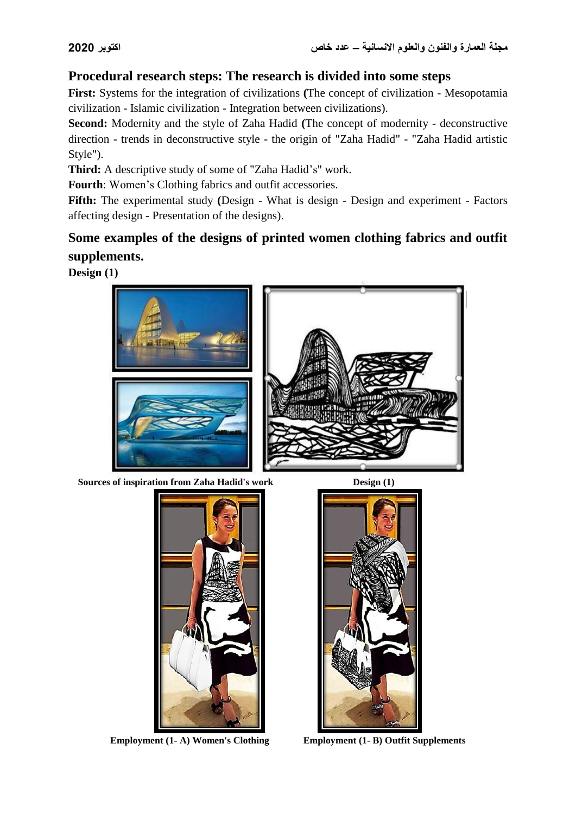# **Procedural research steps: The research is divided into some steps**

**First:** Systems for the integration of civilizations **(**The concept of civilization - Mesopotamia civilization - Islamic civilization - Integration between civilizations).

**Second:** Modernity and the style of Zaha Hadid **(**The concept of modernity - deconstructive direction - trends in deconstructive style - the origin of "Zaha Hadid" - "Zaha Hadid artistic Style").

**Third:** A descriptive study of some of "Zaha Hadid's" work.

**Fourth**: Women's Clothing fabrics and outfit accessories.

**Fifth:** The experimental study **(**Design - What is design - Design and experiment - Factors affecting design - Presentation of the designs).

# **Some examples of the designs of printed women clothing fabrics and outfit supplements.**

**Design (1)**



**Sources of inspiration from Zaha Hadid's work Design (1)** 





**Employment (1- A) Women's Clothing Employment (1- B) Outfit Supplements**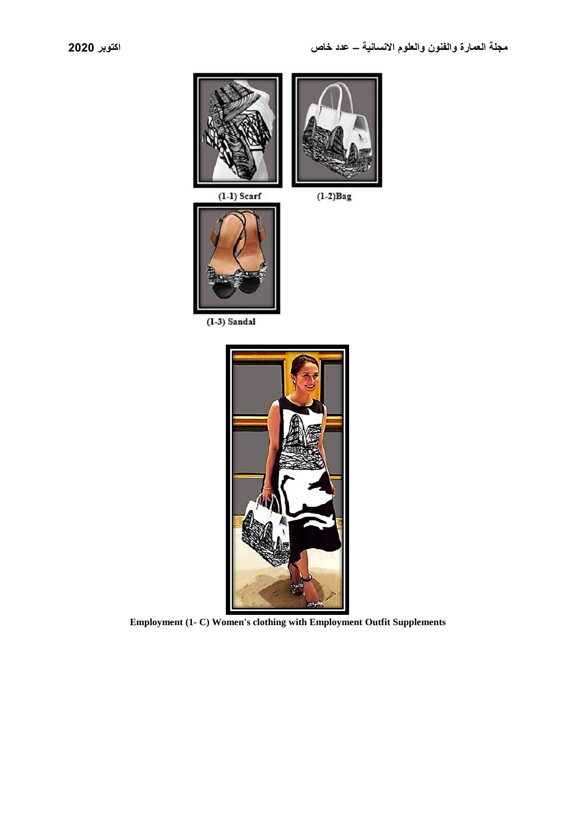

 $(1-3)$  Sandal



**Employment (1- C) Women's clothing with Employment Outfit Supplements**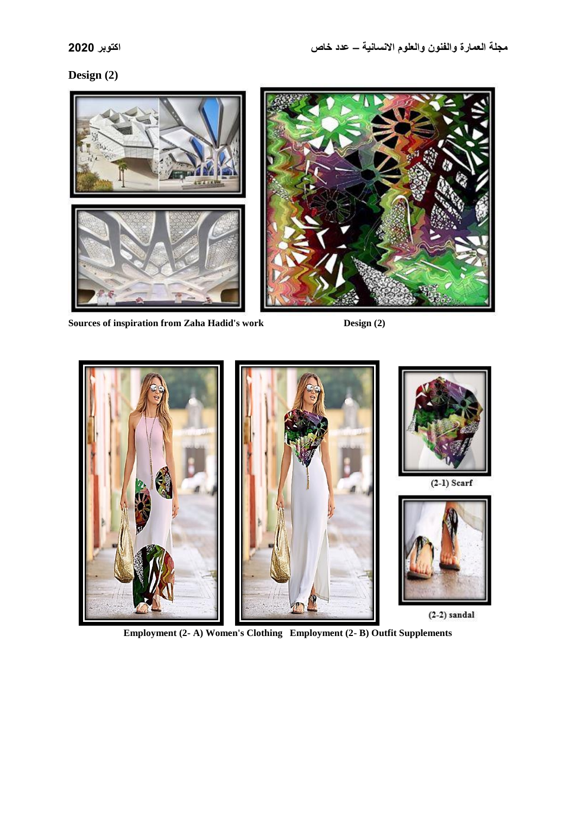## **Design (2)**



**Sources of inspiration from Zaha Hadid's work Design (2)**



**Employment (2- A) Women's Clothing Employment (2- B) Outfit Supplements**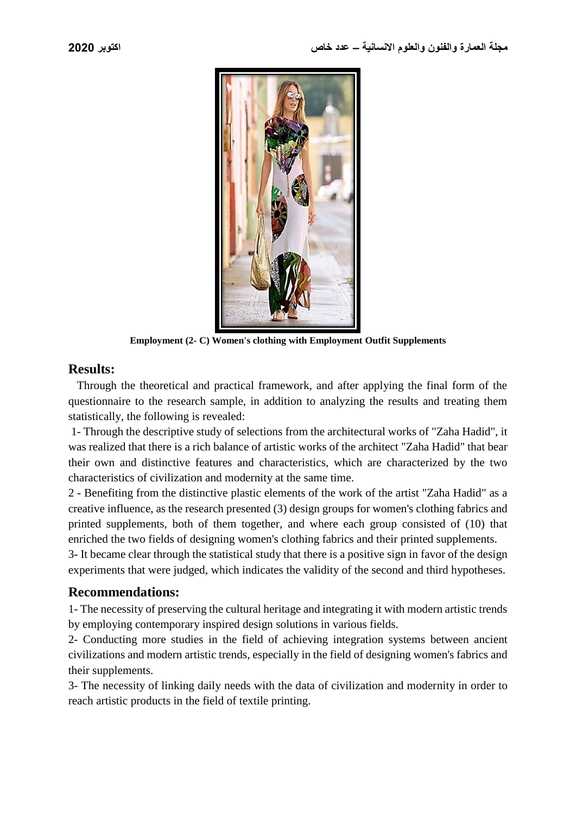

**Employment (2- C) Women's clothing with Employment Outfit Supplements**

#### **Results:**

 Through the theoretical and practical framework, and after applying the final form of the questionnaire to the research sample, in addition to analyzing the results and treating them statistically, the following is revealed:

1- Through the descriptive study of selections from the architectural works of "Zaha Hadid", it was realized that there is a rich balance of artistic works of the architect "Zaha Hadid" that bear their own and distinctive features and characteristics, which are characterized by the two characteristics of civilization and modernity at the same time.

2 - Benefiting from the distinctive plastic elements of the work of the artist "Zaha Hadid" as a creative influence, as the research presented (3) design groups for women's clothing fabrics and printed supplements, both of them together, and where each group consisted of (10) that enriched the two fields of designing women's clothing fabrics and their printed supplements.

3- It became clear through the statistical study that there is a positive sign in favor of the design experiments that were judged, which indicates the validity of the second and third hypotheses.

#### **Recommendations:**

1- The necessity of preserving the cultural heritage and integrating it with modern artistic trends by employing contemporary inspired design solutions in various fields.

2- Conducting more studies in the field of achieving integration systems between ancient civilizations and modern artistic trends, especially in the field of designing women's fabrics and their supplements.

3- The necessity of linking daily needs with the data of civilization and modernity in order to reach artistic products in the field of textile printing.